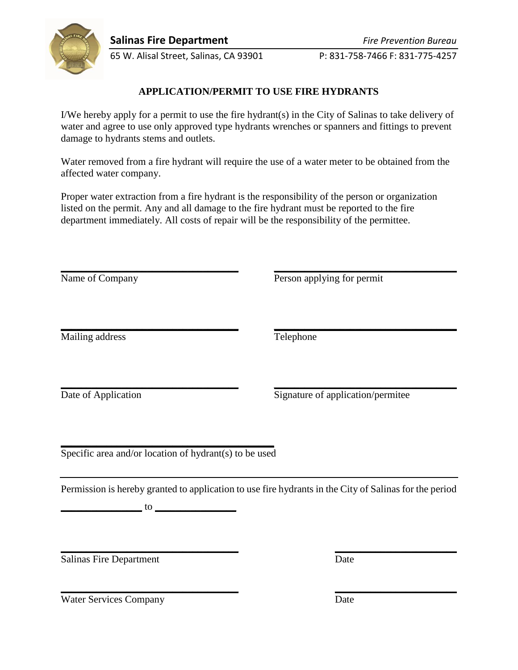

65 W. Alisal Street, Salinas, CA 93901 P: 831-758-7466 F: 831-775-4257

## **APPLICATION/PERMIT TO USE FIRE HYDRANTS**

I/We hereby apply for a permit to use the fire hydrant(s) in the City of Salinas to take delivery of water and agree to use only approved type hydrants wrenches or spanners and fittings to prevent damage to hydrants stems and outlets.

Water removed from a fire hydrant will require the use of a water meter to be obtained from the affected water company.

Proper water extraction from a fire hydrant is the responsibility of the person or organization listed on the permit. Any and all damage to the fire hydrant must be reported to the fire department immediately. All costs of repair will be the responsibility of the permittee.

**\_\_\_\_\_\_\_\_\_\_\_\_\_\_\_\_\_\_\_\_\_\_\_\_\_\_\_\_\_\_\_\_\_\_\_ \_\_\_\_\_\_\_\_\_\_\_\_\_\_\_\_\_\_\_\_\_\_\_\_\_\_\_\_\_\_\_\_\_\_\_\_**

Name of Company Person applying for permit

**\_\_\_\_\_\_\_\_\_\_\_\_\_\_\_\_\_\_\_\_\_\_\_\_\_\_\_\_\_\_\_\_\_\_\_ \_\_\_\_\_\_\_\_\_\_\_\_\_\_\_\_\_\_\_\_\_\_\_\_\_\_\_\_\_\_\_\_\_\_\_\_** Mailing address Telephone

**\_\_\_\_\_\_\_\_\_\_\_\_\_\_\_\_\_\_\_\_\_\_\_\_\_\_\_\_\_\_\_\_\_\_\_ \_\_\_\_\_\_\_\_\_\_\_\_\_\_\_\_\_\_\_\_\_\_\_\_\_\_\_\_\_\_\_\_\_\_\_\_**

Date of Application Signature of application/permitee

**\_\_\_\_\_\_\_\_\_\_\_\_\_\_\_\_\_\_\_\_\_\_\_\_\_\_\_\_\_\_\_\_\_\_\_\_\_\_\_\_\_\_** Specific area and/or location of hydrant(s) to be used

Permission is hereby granted to application to use fire hydrants in the City of Salinas for the period

**\_\_\_\_\_\_\_\_\_\_\_\_\_\_\_\_\_\_\_\_\_\_\_\_\_\_\_\_\_\_\_\_\_\_\_ \_\_\_\_\_\_\_\_\_\_\_\_\_\_\_\_\_\_\_\_\_\_\_\_**

**\_\_\_\_\_\_\_\_\_\_\_\_\_\_\_\_\_\_\_\_\_\_\_\_\_\_\_\_\_\_\_\_\_\_\_ \_\_\_\_\_\_\_\_\_\_\_\_\_\_\_\_\_\_\_\_\_\_\_\_**

**\_\_\_\_\_\_\_\_\_\_\_\_\_\_\_\_** to **\_\_\_\_\_\_\_\_\_\_\_\_\_\_\_\_**

Salinas Fire Department Date

Water Services Company Date